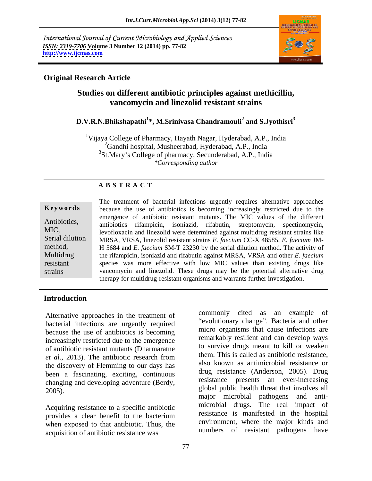International Journal of Current Microbiology and Applied Sciences *ISSN: 2319-7706* **Volume 3 Number 12 (2014) pp. 77-82 <http://www.ijcmas.com>**



### **Original Research Article**

# **Studies on different antibiotic principles against methicillin, vancomycin and linezolid resistant strains**

### **D.V.R.N.Bhikshapathi<sup>1</sup> \*, M.Srinivasa Chandramouli<sup>2</sup> and S.Jyothisri<sup>3</sup>**

<sup>1</sup>Vijaya College of Pharmacy, Hayath Nagar, Hyderabad, A.P., India <sup>2</sup>Gandhi hospital, Musheerabad, Hyderabad, A.P., India <sup>3</sup>St.Mary's College of pharmacy, Secunderabad, A.P., India *\*Corresponding author* 

### **A B S T R A C T**

| nevworas        |
|-----------------|
| Antibiotics,    |
| MIC,            |
| Serial dilution |
| method,         |
| Multidrug       |
| resistant       |
| strains         |
|                 |

**Keywords** because the use of antibiotics is becoming increasingly restricted due to the Antibiotics, antibiotics rifampicin, isoniazid, rifabutin, streptomycin, spectinomycin, MIC,<br>
levofloxacin and linezolid were determined against multidrug resistant strains like Serial dilution MRSA, VRSA, linezolid resistant strains *E. faecium* CC-X 48585, *E. faecium* JM method, **H** 5684 and *E. faecium* SM-T 23230 by the serial dilution method. The activity of Multidrug the rifampicin, isoniazid and rifabutin against MRSA, VRSA and other *E. faecium* resistant species was more effective with low MIC values than existing drugs like strains vancomycin and linezolid. These drugs may be the potential alternative drug The treatment of bacterial infections urgently requires alternative approaches emergence of antibiotic resistant mutants. The MIC values of the different therapy for multidrug-resistant organisms and warrants further investigation.

## **Introduction**

Alternative approaches in the treatment of bacterial infections are urgently required because the use of antibiotics is becoming increasingly restricted due to the emergence of antibiotic resistant mutants (Dharmaratne *et al.,* 2013). The antibiotic research from the discovery of Flemming to our days has been a fascinating, exciting, continuous changing and developing adventure (Berdy,<br>2005).<br>2005).

Acquiring resistance to a specific antibiotic provides a clear benefit to the bacterium when exposed to that antibiotic. Thus, the acquisition of antibiotic resistance was

commonly cited as an example of "evolutionary change". Bacteria and other micro organisms that cause infections are remarkably resilient and can develop ways to survive drugs meant to kill or weaken them. This is called as antibiotic resistance, also known as antimicrobial resistance or drug resistance (Anderson, 2005). Drug resistance presents an ever-increasing global public health threat that involves all major microbial pathogens and anti microbial drugs. The real impact of resistance is manifested in the hospital environment, where the major kinds and numbers of resistant pathogens have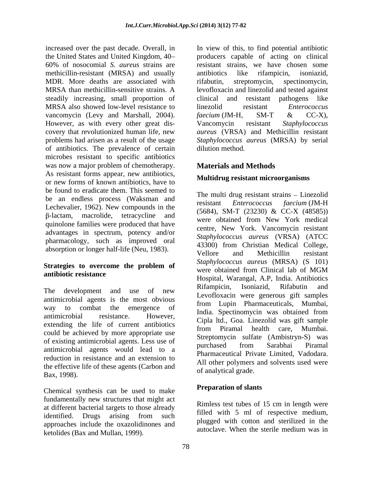the United States and United Kingdom, 40 methicillin-resistant (MRSA) and usually antibiotics like rifampicin, isoniazid, MDR. More deaths are associated with rifabutin, streptomycin, spectinomycin, steadily increasing, small proportion of MRSA also showed low-level resistance to linezolid resistant *Enterococcus* vancomycin (Levy and Marshall, 2004). faecium (JM-H, SM-T & CC-X), However, as with every other great dis-<br>Vancomycin resistant Staphylococcus of antibiotics. The prevalence of certain microbes resistant to specific antibiotics was now a major problem of chemotherapy. As resistant forms appear, new antibiotics, or new forms of known antibiotics, have to be found to eradicate them. This seemed to be an endless process (Waksman and The multi-diagnesistant strains – Entezond Lechevalier, 1962). New compounds in the -lactam, macrolide, tetracycline and quinolone families were produced that have advantages in spectrum, potency and/or pharmacology, such as improved oral

antimicrobial agents is the most obvious extending the life of current antibiotics<br>from Piramal health care, Mumbai. could be achieved by more appropriate use of existing antimicrobial agents. Less use of the sure produced and the state (Allibrary Barabhai Piramal antimicrobial agents would lead to a reduction in resistance and an extension to the effective life of these agents (Carbon and Bax, 1998).

Chemical synthesis can be used to make fundamentally new structures that might act at different bacterial targets to those already identified. Drugs arising from such the latter with a large discussion in the latter of approaches include the oxazolidinones and<br>autoclave. When the sterile medium was in ketolides (Bax and Mullan, 1999).

increased over the past decade. Overall, in In view of this, to find potential antibiotic 60% of nosocomial *S. aureus* strains are MRSA than methicillin-sensitive strains. A levofloxacin and linezolid and tested against covery that revolutionized human life, new *aureus* (VRSA) and Methicillin resistant problems had arisen as a result of the usage Staphylococcus aureus (MRSA) by serial producers capable of acting on clinical resistant strains, we have chosen some antibiotics like rifampicin, isoniazid, rifabutin, streptomycin, spectinomycin, clinical and resistant pathogens like linezolid resistant *Enterococcus faecium* (JM-H, SM-T & CC-X), Vancomycin resistant *Staphylococcus*  dilution method.

# **Materials and Methods**

# **Multidrug resistant microorganisms**

absorption or longer half-life (Neu, 1983).<br>
Vellore and Methicillin resistant **Strategies to overcome the problem of antibiotic resistance**<br>
Hospital, Warangal, A.P, India. Antibiotics The development and use of new Khampfun, Isomazia, Khabath and way to combat the emergence of India. Spectinomycin was obtained from existence. antimicrobial resistance. However, Cipla ltd., Goa. Linezolid was gift sample The multi drug resistant strains – Linezolid resistant *Enterococcus faecium* (JM-H (5684), SM-T (23230) & CC-X (48585)) were obtained from New York medical centre, New York. Vancomycin resistant *Staphylococcus aureus* (VRSA) (ATCC 43300) from Christian Medical College, Vellore and Methicillin resistant *Staphylococcus aureus* (MRSA) (S 101) were obtained from Clinical lab of MGM Rifampicin, Isoniazid, Rifabutin and Levofloxacin were generous gift samples from Lupin Pharmaceuticals, Mumbai, from Piramal health care, Mumbai. Streptomycin sulfate (Ambistryn-S) was purchased from Sarabhai Piramal Pharmaceutical Private Limited, Vadodara. All other polymers and solvents used were of analytical grade.

# **Preparation of slants**

Rimless test tubes of 15 cm in length were filled with 5 ml of respective medium, plugged with cotton and sterilized in the autoclave. When the sterile medium was in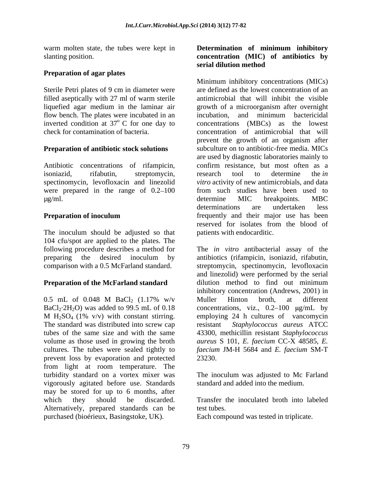### **Preparation of agar plates**

Sterile Petri plates of 9 cm in diameter were filled aseptically with 27 ml of warm sterile flow bench. The plates were incubated in an incubation, and minimum bactericidal inverted condition at  $37^{\circ}$  C for one day to

Antibiotic concentrations of rifampicin, confirm resistance, but most often as a were prepared in the range of  $0.2-100$ 

The inoculum should be adjusted so that 104 cfu/spot are applied to the plates. The

## **Preparation of the McFarland standard**

The standard was distributed into screw cap cultures. The tubes were sealed tightly to prevent loss by evaporation and protected from light at room temperature. The turbidity standard on a vortex mixer was vigorously agitated before use. Standards may be stored for up to 6 months, after which they should be discarded. Transfer the inoculated broth into labeled Alternatively, prepared standards can be purchased (bioérieux, Basingstoke, UK).

### warm molten state, the tubes were kept in **Determination of minimum inhibitory** slanting position. **concentration (MIC) of antibiotics by serial dilution method**

liquefied agar medium in the laminar air growth of a microorganism after overnight <sup>o</sup> C for one day to concentrations (MBCs) as the lowest check for contamination of bacteria. concentration of antimicrobial that will **Preparation of antibiotic stock solutions** subculture on to antibiotic-free media. MICs isoniazid, rifabutin, streptomycin, research tool to determine the *in* spectinomycin, levofloxacin and linezolid *vitro* activity of new antimicrobials, and data μg/ml. Solution and the determine MIC breakpoints. MBC MBC **Preparation of inoculum** frequently and their major use has been Minimum inhibitory concentrations (MICs) are defined as the lowest concentration of an antimicrobial that will inhibit the visible incubation, and minimum bactericidal prevent the growth of an organism after are used by diagnostic laboratories mainly to confirm resistance, but most often as a research tool to determine the *in* from such studies have been used to determine MIC breakpoints. MBC determinations are undertaken less reserved for isolates from the blood of patients with endocarditic.

following procedure describes a method for The *in vitro* antibacterial assay of the preparing the desired inoculum by antibiotics (rifampicin, isoniazid, rifabutin, comparison with a 0.5 McFarland standard. streptomycin, spectinomycin, levofloxacin 0.5 mL of 0.048 M BaCl<sub>2</sub> (1.17% w/v Muller Hinton broth, at different  $BaCl_2·2H_2O$ ) was added to 99.5 mL of 0.18 concentrations, viz., 0.2–100  $\mu$ g/mL by M  $H_2SO_4$  (1% v/v) with constant stirring. employing 24 h cultures of vancomycin tubes of the same size and with the same 43300, methicillin resistant *Staphylococcus*  volume as those used in growing the broth *aureus* S 101, *E. faecium* CC-X 48585, *E.*  antibiotics (rifampicin, isoniazid, rifabutin, and linezolid) were performed by the serial dilution method to find out minimum inhibitory concentration (Andrews, 2001) in Muller Hinton broth, at different  $Staphylococcus$  *aureus* ATCC *faecium* JM-H 5684 and *E. faecium* SM-T 23230.

> The inoculum was adjusted to Mc Farland standard and added into the medium.

test tubes.

Each compound was tested in triplicate.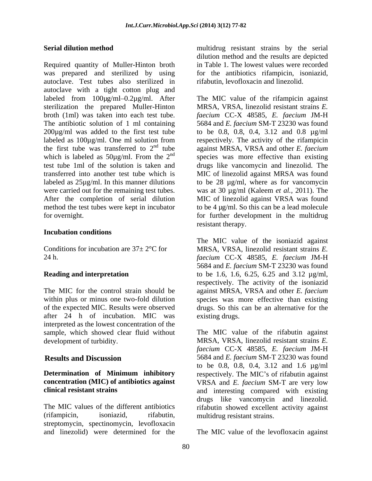Required quantity of Muller-Hinton broth was prepared and sterilized by using for the antibiotics rifampicin, isoniazid, autoclave. Test tubes also sterilized in autoclave with a tight cotton plug and labeled from 100µg/ml–0.2µg/ml. After The MIC value of the rifampicin against sterilization the prepared Muller-Hinton broth (1ml) was taken into each test tube. *faecium* CC-X 48585, *E. faecium* JM-H The antibiotic solution of 1 ml containing 5684 and *E. faecium* SM-T 23230 was found 200µg/ml was added to the first test tube labeled as 100µg/ml. One ml solution from respectively. The activity of the rifampicin the first tube was transferred to  $2<sup>nd</sup>$  tube against MRSA, VRSA and other *E. faecium* which is labeled as  $50\mu g/ml$ . From the  $2<sup>nd</sup>$  species was more effective than existing test tube 1ml of the solution is taken and drugs like vancomycin and linezolid. The transferred into another test tube which is MIC of linezolid against MRSA was found labeled as 25µg/ml. In this manner dilutions to be 28 µg/ml, where as for vancomycin were carried out for the remaining test tubes. was at 30 µg/ml (Kaleem *et al.,* 2011). The After the completion of serial dilution MIC of linezolid against VRSA was found method the test tubes were kept in incubator to be 4 µg/ml. So this can be a lead molecule for overnight. The same state of the multidrum over the multidrug state of the multidrum over the multidrum over the multidrum over the multidrum over the multidrum over the multidrum over the multidrum over the multidrum

### **Incubation conditions**

of the expected MIC. Results were observed after 24 h of incubation. MIC was interpreted as the lowest concentration of the sample, which showed clear fluid without

(rifampicin, isoniazid, rifabutin, multidrug resistant strains. streptomycin, spectinomycin, levofloxacin

**Serial dilution method** multidrug resistant strains by the serial dilution method and the results are depicted in Table 1. The lowest values were recorded rifabutin, levofloxacin and linezolid.

> MRSA, VRSA, linezolid resistant strains *E.*  to be 0.8, 0.8, 0.4, 3.12 and 0.8 µg/ml resistant therapy.

Conditions for incubation are  $37 \pm 2^{\circ}$ C for MRSA, VRSA, linezolid resistant strains *E*. 24 h. *faecium* CC-X 48585, *E. faecium* JM-H **Reading and interpretation** to be 1.6, 1.6, 6.25, 6.25 and 3.12 µg/ml, The MIC for the control strain should be against MRSA, VRSA and other *E. faecium* within plus or minus one two-fold dilution species was more effective than existing The MIC value of the isoniazid against 5684 and *E. faecium* SM-T 23230 was found respectively. The activity of the isoniazid drugs. So this can be an alternative for the existing drugs.

development of turbidity. MRSA, VRSA, linezolid resistant strains *E.*  **Results and Discussion** 5684 and *E. faecium* SM-T 23230 was found **Determination of Minimum inhibitory** respectively. The MIC's of rifabutin against **concentration (MIC) of antibiotics against**  VRSA and *E. faecium* SM-T are very low **clinical resistant strains** and interesting compared with existing The MIC values of the different antibiotics rifabutin showed excellent activity against The MIC value of the rifabutin against *faecium* CC-X 48585, *E. faecium* JM-H to be 0.8, 0.8, 0.4, 3.12 and 1.6 µg/ml drugs like vancomycin and linezolid.

and linezolid) were determined for the The MIC value of the levofloxacin against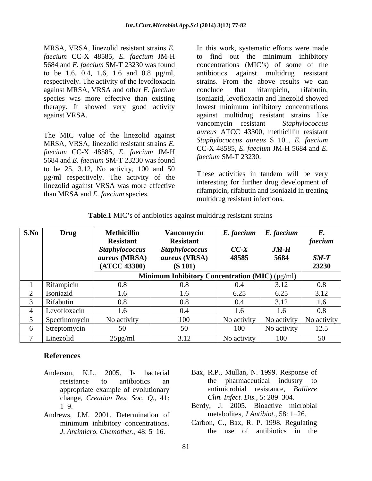MRSA, VRSA, linezolid resistant strains *E.*  In this work, systematic efforts were made *faecium* CC-X 48585, *E. faecium* JM-H against MRSA, VRSA and other *E. faecium*

The MIC value of the linezolid against MRSA, VRSA, linezolid resistant strains *E. faecium* CC-X 48585, *E. faecium* JM-H 5684 and *E. faecium* SM-T 23230 was found to be 25, 3.12, No activity, 100 and 50 µg/ml respectively. The activity of the linezolid against VRSA was more effective than MRSA and *E. faecium* species.

5684 and *E. faecium* SM-T 23230 was found concentrations (MIC's) of some of the to be 1.6, 0.4, 1.6, 1.6 and 0.8 µg/ml, antibiotics against multidrug resistant respectively. The activity of the levofloxacin strains. From the above results we can species was more effective than existing isoniazid, levofloxacin and linezolid showed therapy. It showed very good activity lowest minimum inhibitory concentrations against VRSA. against multidrug resistant strains like to find out the minimum inhibitory conclude that rifampicin, rifabutin, vancomycin resistant *Staphylococcus aureus* ATCC 43300, methicillin resistant *Staphylococcus aureus* S 101, *E. faecium* CC-X 48585, *E. faecium* JM-H 5684 and *E. faecium* SM-T 23230.

> These activities in tandem will be very interesting for further drug development of rifampicin, rifabutin and isoniazid in treating multidrug resistant infections.

| S.No | <b>Drug</b>      | <b>Methicillin</b>    | Vancomycin                                     | $E$ . faecium $\mid E$ . faecium |                                   |                          |
|------|------------------|-----------------------|------------------------------------------------|----------------------------------|-----------------------------------|--------------------------|
|      |                  | <b>Resistant</b>      | <b>Resistant</b>                               |                                  |                                   | faecium                  |
|      |                  | <b>Staphylococcus</b> | <b>Staphylococcus</b>                          | $CC-X$                           | $JM-H$                            |                          |
|      |                  | aureus (MRSA)         | <i>aureus</i> (VRSA)                           | 48585                            | 5684                              | $SM-T$                   |
|      |                  | (ATCC 43300)          | (S 101)                                        |                                  |                                   | 23230                    |
|      |                  |                       | Minimum Inhibitory Concentration (MIC) (µg/ml) |                                  |                                   |                          |
|      | Rifampicin       | 0.8                   |                                                | $0.4^{\circ}$                    | 3.12                              | 0.8                      |
|      | Isoniazid        | 1.6                   |                                                | $\mathbf{0}$ . $\mathbf{0}$      | 6.25                              | 3.12                     |
|      | <b>Rifabutin</b> | $\Omega$<br>0.8       |                                                | 0.4                              | 3.12                              |                          |
|      | Levofloxacin     | 1.6                   | 0.4                                            |                                  | 1.6                               | 0.8                      |
|      | Spectinomycin    | No activity           | 100                                            |                                  | No activity   No activity $\vert$ | No activity              |
|      | Streptomycin     | 50                    | 50                                             | 100                              | No activity                       | 125<br>$1 \angle . \cup$ |
|      | Linezolid        | $25\mu g/ml$          | 3.12                                           | No activity                      | 100                               |                          |

**Table.1** MIC's of antibiotics against multidrug resistant strains

## **References**

- Anderson, K.L. 2005. Is bacterial Bax, R.P., Mullan, N. 1999. Response of appropriate example of evolutionary change, *Creation Res. Soc. Q.,* 41:
- Andrews, J.M. 2001. Determination of *J. Antimicro. Chemother., 48: 5-16.*
- resistance to antibiotics an the pharmaceutical industry to antimicrobial resistance, *Balliere Clin. Infect. Dis., 5: 289-304.*
- 1 9. Berdy, J. 2005. Bioactive microbial metabolites, *J Antibiot.*, 58: 1-26.
	- minimum inhibitory concentrations. Carbon, C., Bax, R. P. 1998. Regulating Carbon, C., Bax, R. P. 1998. Regulating the use of antibiotics in the